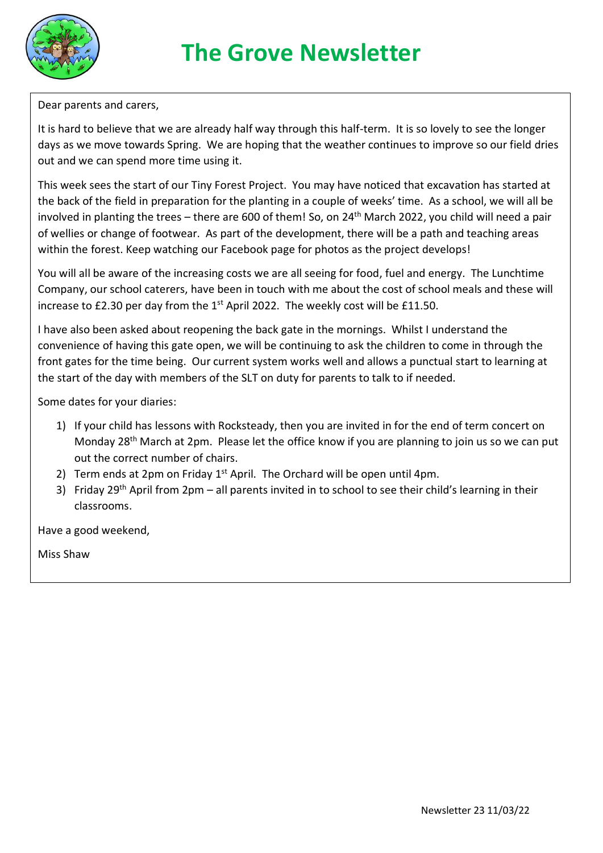

## Dear parents and carers,

It is hard to believe that we are already half way through this half-term. It is so lovely to see the longer days as we move towards Spring. We are hoping that the weather continues to improve so our field dries out and we can spend more time using it.

This week sees the start of our Tiny Forest Project. You may have noticed that excavation has started at the back of the field in preparation for the planting in a couple of weeks' time. As a school, we will all be involved in planting the trees – there are 600 of them! So, on 24<sup>th</sup> March 2022, you child will need a pair of wellies or change of footwear. As part of the development, there will be a path and teaching areas within the forest. Keep watching our Facebook page for photos as the project develops!

You will all be aware of the increasing costs we are all seeing for food, fuel and energy. The Lunchtime Company, our school caterers, have been in touch with me about the cost of school meals and these will increase to  $£2.30$  per day from the  $1<sup>st</sup>$  April 2022. The weekly cost will be  $£11.50$ .

I have also been asked about reopening the back gate in the mornings. Whilst I understand the convenience of having this gate open, we will be continuing to ask the children to come in through the front gates for the time being. Our current system works well and allows a punctual start to learning at the start of the day with members of the SLT on duty for parents to talk to if needed.

Some dates for your diaries:

- 1) If your child has lessons with Rocksteady, then you are invited in for the end of term concert on Monday 28<sup>th</sup> March at 2pm. Please let the office know if you are planning to join us so we can put out the correct number of chairs.
- 2) Term ends at 2pm on Friday  $1<sup>st</sup>$  April. The Orchard will be open until 4pm.
- 3) Friday 29<sup>th</sup> April from 2pm all parents invited in to school to see their child's learning in their classrooms.

Have a good weekend,

Miss Shaw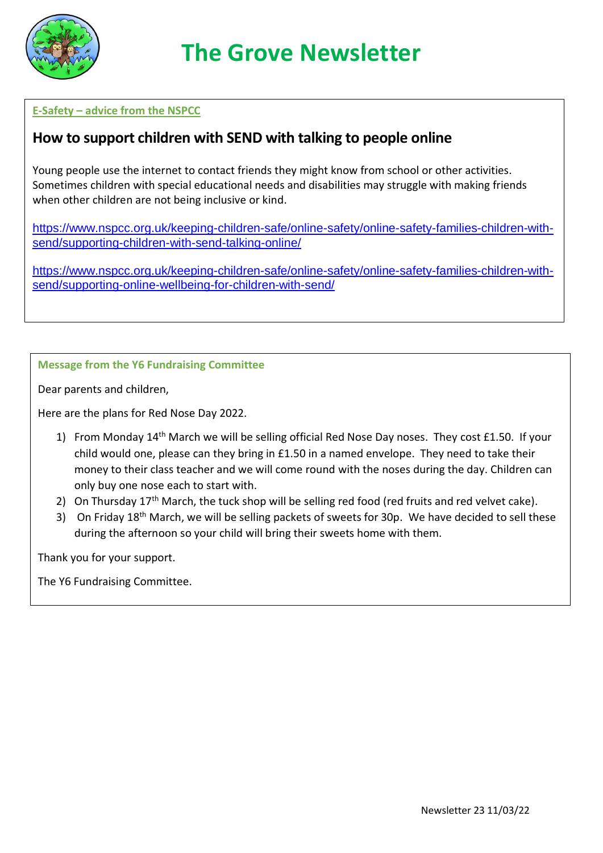

## **E-Safety – advice from the NSPCC**

# **How to support children with SEND with talking to people online**

Young people use the internet to contact friends they might know from school or other activities. Sometimes children with special educational needs and disabilities may struggle with making friends when other children are not being inclusive or kind.

[https://www.nspcc.org.uk/keeping-children-safe/online-safety/online-safety-families-children-with](https://www.nspcc.org.uk/keeping-children-safe/online-safety/online-safety-families-children-with-send/supporting-children-with-send-talking-online/)[send/supporting-children-with-send-talking-online/](https://www.nspcc.org.uk/keeping-children-safe/online-safety/online-safety-families-children-with-send/supporting-children-with-send-talking-online/)

[https://www.nspcc.org.uk/keeping-children-safe/online-safety/online-safety-families-children-with](https://www.nspcc.org.uk/keeping-children-safe/online-safety/online-safety-families-children-with-send/supporting-online-wellbeing-for-children-with-send/)[send/supporting-online-wellbeing-for-children-with-send/](https://www.nspcc.org.uk/keeping-children-safe/online-safety/online-safety-families-children-with-send/supporting-online-wellbeing-for-children-with-send/)

#### **Message from the Y6 Fundraising Committee**

Dear parents and children,

Here are the plans for Red Nose Day 2022.

- 1) From Monday 14<sup>th</sup> March we will be selling official Red Nose Day noses. They cost £1.50. If your child would one, please can they bring in £1.50 in a named envelope. They need to take their money to their class teacher and we will come round with the noses during the day. Children can only buy one nose each to start with.
- 2) On Thursday  $17<sup>th</sup>$  March, the tuck shop will be selling red food (red fruits and red velvet cake).
- 3) On Friday 18<sup>th</sup> March, we will be selling packets of sweets for 30p. We have decided to sell these during the afternoon so your child will bring their sweets home with them.

Thank you for your support.

The Y6 Fundraising Committee.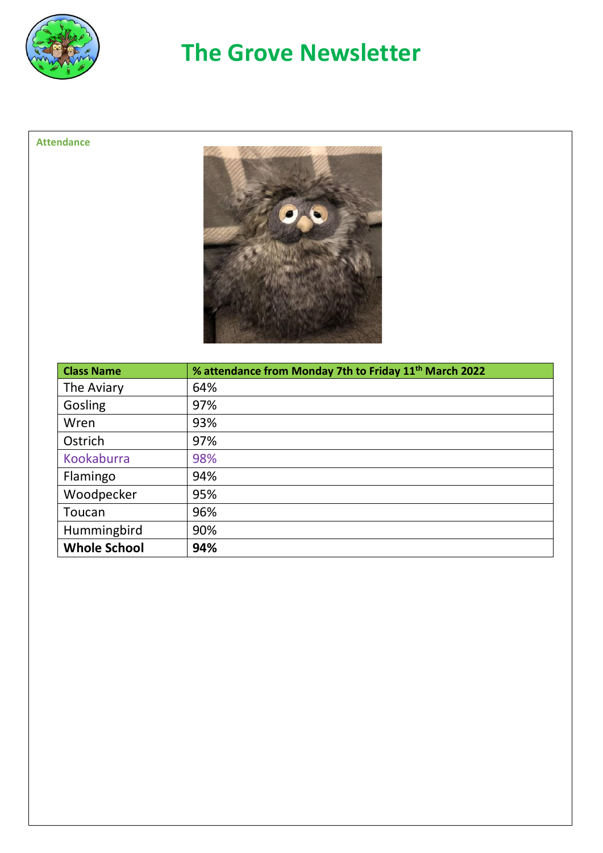

# **The Grove Newsletter**

## **Attendance**



| <b>Class Name</b>   | % attendance from Monday 7th to Friday 11 <sup>th</sup> March 2022 |
|---------------------|--------------------------------------------------------------------|
| The Aviary          | 64%                                                                |
| Gosling             | 97%                                                                |
| Wren                | 93%                                                                |
| Ostrich             | 97%                                                                |
| Kookaburra          | 98%                                                                |
| Flamingo            | 94%                                                                |
| Woodpecker          | 95%                                                                |
| Toucan              | 96%                                                                |
| Hummingbird         | 90%                                                                |
| <b>Whole School</b> | 94%                                                                |